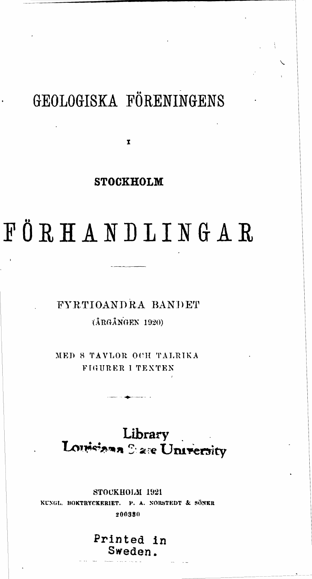## GEOLOGISKA FÖRENINGENS

 $\mathbf{r}$ 

### **STOCKHOLM**

## FÖRHANDLINGAR

**FYRTIOANDRA BANDET** (ÅRGÅNGEN 1920)

MED 8 TAVLOR OCH TALRIKA FIGURER I TEXTEN

# Library<br>Louisiana State University

STOCKHOLM 1921 KUNGL. BOKTRYCKERIET. A. NORSTEDT & SÖNKR Þ. 200330

> Printed in Sweden.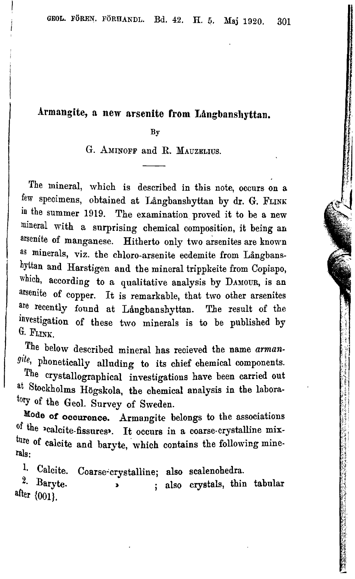### Armangite, a new arsenite from Långbanshyttan.

By

G. AMINOFF and R. MAUZELIUS.

The mineral, which is described in this note, occurs on a few specimens, obtained at Långbanshyttan by dr. G. FLINK in the summer 1919. The examination proved it to be a new mineral with a surprising chemical composition, it being an arsenite of manganese. Hitherto only two arsenites are known as minerals, viz. the chloro-arsenite ecdemite from Langbanshyttan and Harstigen and the mineral trippkeite from Copiapo, which, according to a qualitative analysis by DAMOUR, is an arsenite of copper. It is remarkable, that two other arsenites are recently found at Langbanshyttan. The result of the investigation of these two minerals is to be published by G. FLINK.

The below described mineral has recieved the name *armangite,* phonetically alluding to its chief chemical components. ./

The crystallographical investigations have been carried out at Stockholms Högskola, the chemical analysis in the laboratory of the Geol. Survey of Sweden.

MOde *ot* occurence. Armangite belongs to the associations of the *vcalcite-fissures*. It occurs in a coarse-crystalline mixture of calcite and baryte, which contains the following minerals:

1. Calcite. Coarse"crystallinej also scalenohedra.

; also crystals, thin tabular after {OOl}.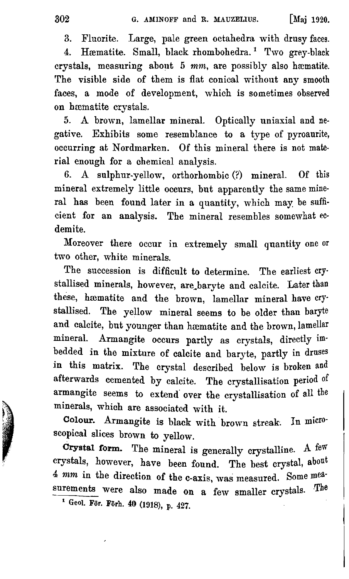3. Fluorite. Large, pale green octahedra with drusy faces.

4. Hæmatite. Small, black rhombohedra.<sup>1</sup> Two grey-black crystals, measuring about 5 mm, are possibly also hæmatite. The visible side of them is flat conical without any smooth faces, a mode of development, which is sometimes observed on hæmatite crystals.

5. A brown, lamellar mineral. Optically uniaxial and negative. Exhibits some resemblance to a type of pyroaurite, occurring at Nordmarken. Of this mineral there is not material enough for a chemical analysis.

6. A sulphur-yellow, orthorhombic (?) mineral. Of this mineral extremely little occurs, but apparently the same mineral has been found later in a quantity, which may be sufficient for an analysis. The mineral resembles somewhat ccdemite.

Moreover there occur in extremely small quantity one or two other, white minerals.

The succession is difficult to determine. The earliest crystallised minerals, however, are\_baryte and calcite. Later than these, hæmatite and the brown, lamellar mineral have crystallised. The yellow mineral seems to be older than baryte and calcite, but younger than hæmatite and the brown, lamellar mineral. Armangite occurs partly as crystals, directly imbedded in the mixture of calcite and baryte, partly in drnses in this matrix. The crystal described below is broken and afterwards cemented by calcite. The crystallisation period of armangite seems to extend' over the crystallisation of all the minerals, which are associated with it.

Colour. Armangite is black with' brown streak. In microscopical slices brown to yellow.

Crystal form. The mineral is generally crystalline. A few crystals, however, have been found. The best crystal, about 4 *mm* in the direction of the c-axis, was measured. Some measurements were also made on a few smaller crystals. The

 $1$  Geol. För. Förh. 40 (1918), p. 427.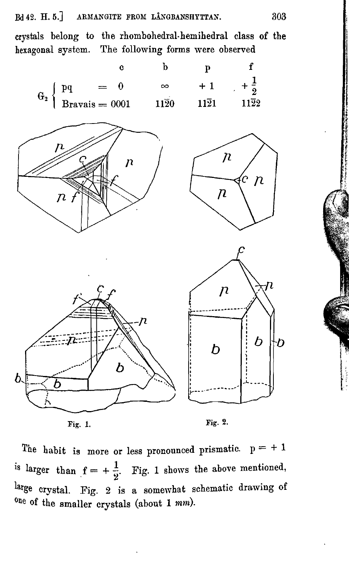crystals belong to the rhombohedral-hemihedral class of the hexagonal system. The following forms were observed



Fig. 1.

Fig. 2.

The habit is more or less pronounced prismatic.  $p = +1$ is larger than  $f = +\frac{1}{2}$ . Fig. 1 shows the above mentioned, large crystal. Fig. 2 is a somewhat schematic drawing of one of the smaller crystals (about 1 mm).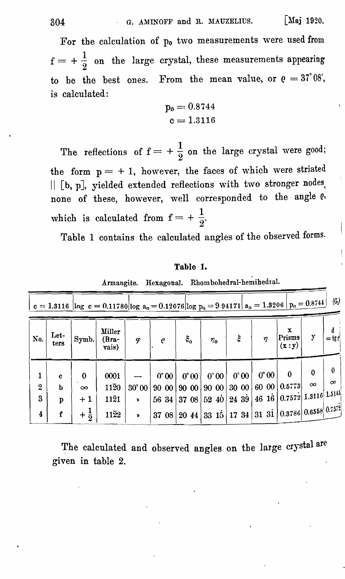For the calculation of  $p_0$  two measurements were used from  $f = + \frac{1}{2}$  on the large crystal, these measurements appearing to be the best ones. From the mean value, or  $\varrho = 37^\circ 08'$ , is calculated:

$$
\begin{array}{c}\n\mathbf{p}_0 = 0.8744 \\
\mathbf{c} = 1.3116\n\end{array}
$$

The reflections of  $f = +\frac{1}{2}$  on the large crystal were good; the form  $p = +1$ , however, the faces of which were striated  $||$  [b, p], yielded extended reflections with two stronger nodes, none of these, however, well corresponded to the angle  $e$ , which is calculated from  $f = + \frac{1}{2}$ .

Table 1 contains the calculated angles of the observed forms.

### Table 1.

.Armangite. Hexagonal. Rhombobedral-hemihedral.

| $(G_i)$<br>$  c = 1.3116  log c = 0.11780  log a_0 = 0.12076  log p_0 = 9.94171  a_0 = 1.3206  p_0 = 0.8744 $ |              |                |                          |                        |                        |               |               |                                                          |               |                      |          |          |
|---------------------------------------------------------------------------------------------------------------|--------------|----------------|--------------------------|------------------------|------------------------|---------------|---------------|----------------------------------------------------------|---------------|----------------------|----------|----------|
| No.                                                                                                           | Let-<br>ters | Symb.          | Miller<br>(Bra-<br>vais) | $\boldsymbol{\varphi}$ | $\boldsymbol{\varrho}$ | $\xi_0$       | $\eta_0$      | $\ddot{\boldsymbol{z}}$                                  | $\eta$        | x<br>Prisms<br>(x:y) | y        | $=$ ige  |
| 1                                                                                                             | c            | $\bf{0}$       | 0001                     |                        | $0^{\circ}00$          | $0^{\circ}00$ | $0^{\circ}00$ | $0^{\circ}00$                                            | $0^{\circ}00$ | $\bf{0}$             | 0        | 0        |
| $\boldsymbol{2}$                                                                                              | $\mathbf b$  | $\infty$       | $11\overline{2}0$        | $30^{\circ}00$         | 9000                   | 9000          |               | 9000 3000 6000 0.5773                                    |               |                      | $\infty$ | $\infty$ |
| 3                                                                                                             | Þ            | $+1$           | $11\overline{2}1$        | $\mathbf{r}$           | 56 34                  |               |               | 37 08   52 40   24 39   46 16   0.7572   1.3116   1.5145 |               |                      |          |          |
| $\overline{\mathbf{4}}$                                                                                       | f            | $+\frac{1}{2}$ | $11\overline{2}2$        | $\blacktriangleright$  | 37 08                  |               |               | 20 44 33 15 17 34 31 31 0.3786 0.6558 $0.757^2$          |               |                      |          |          |

The calculated and observed angles on the large crystal are given in table 2.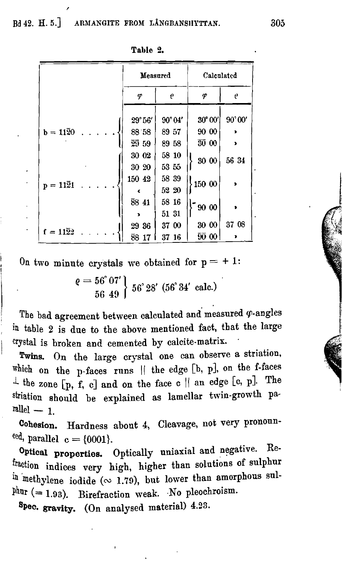|                       | Measured |                 | Calculated       |                 |  |  |
|-----------------------|----------|-----------------|------------------|-----------------|--|--|
|                       | φ        | ¢               | φ                | ę               |  |  |
|                       | 29° 56'  | $90^{\circ}04'$ | $30^{\circ} 00'$ | $90^{\circ}00'$ |  |  |
| $b = 11\overline{2}0$ | 88 58    | 89 57           | 90 00            |                 |  |  |
|                       | 29 59    | 89 58           | 30 OO            |                 |  |  |
|                       | 30 02    | 58 10           | 30 00            | 56 34           |  |  |
|                       | 30 20    | 53 55           |                  |                 |  |  |
| $p = 11\overline{2}1$ | 150 42   | 58 39           | 150 00           | <b>x</b>        |  |  |
|                       |          | 52 20           |                  |                 |  |  |
|                       | 88 41    | 58 16           | 90 00            |                 |  |  |
|                       |          | 51 31           |                  |                 |  |  |
|                       | 29 36    | 37 00           | 30 00            | 37 08           |  |  |
| $f = 11\bar{2}2$      | 88 17    | 37 16           | 900              | ,               |  |  |

Table 2.

On two minute crystals we obtained for  $p = +1$ :

 $e = 56°07'$   $56°28'$  (56°34' calc.)

The bad agreement between calculated and measured  $\varphi$ -angles in table 2 is due to the above mentioned fact, that the large crystal is broken and cemented by calcite-matrix. .

Twins. On the large crystal one can observe a striation, which on the p-faces runs  $||$  the edge  $[b, p]$ , on the f-faces  $\perp$  the zone [p, f, c] and on the face c || an edge [c, p]. The striation should be explained as lamellar twin-growth pa- $\text{ralle}1 - 1$ .

Cohesion. Hardness about 4, Cleavage, not very pronouneed, parallel  $c = \{0001\}$ .

Optical properties. Optically uniaxial and negative. Refraction indices very high, higher than solutions of sulphur in methylene iodide  $(\infty, 1.79)$ , but lower than amorphous sul $phur (= 1.93)$ . Birefraction weak. No pleochroism.

Spec. gravity. (On analysed material) 4.23.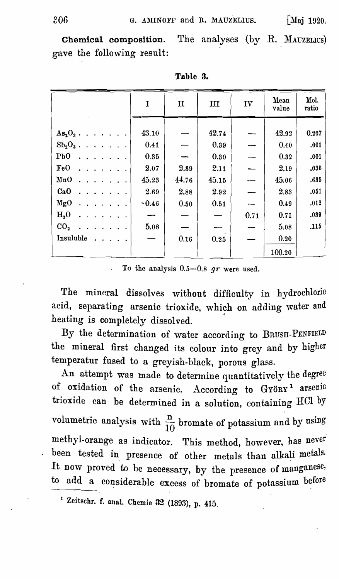Chemical composition. The analyses (by R. MAUZELIUS) gave the following result:

|                            | I       | п     | ш     | IV   | Mean<br>value | Mol.<br>ratio |
|----------------------------|---------|-------|-------|------|---------------|---------------|
| $As2O3$                    | 43.10   |       | 42.74 |      | 42.92         | 0.207         |
| $Sb_2O_3$                  | 0.41    |       | 0.39  |      | 0.40          | .001          |
| $Pb0$                      | 0.35    |       | 0.30  |      | 0.32          | .001          |
| FeO                        | 2.07    | 2.39  | 2.11  |      | 2.19          | .030          |
| MnO                        | 45.23   | 44.76 | 45.15 |      | 45.06         | .635          |
| CaO                        | 2.69    | 2.88  | 2.92  |      | 2.83          | .051          |
| $_{\text{MgO}}$            | $-0.46$ | 0.50  | 0.51  |      | 0.49          | .012          |
| H <sub>2</sub>             |         |       |       | 0.71 | 0.71          | .039          |
| CO <sub>2</sub>            | 5.08    |       |       |      | 5.08          | .115          |
| Insuluble<br>$2.12 - 1.12$ |         | 0.16  | 0.25  |      | 0.20          |               |
|                            |         |       |       |      | 100.20        |               |

Table 3.

To the analysis 0.5-0.8 *gr* were used.

The mineral dissolves without difficulty in hydrochloric acid, separating arsenic trioxide, which on adding water and heating is completely dissolved.

By the determination of water according to BRUSH-PENFIELD the mineral first changed its colour into grey and by higher temperatur fused to a greyish-black, porous glass.

An attempt was made to determine quantitatively the degree of oxidation of the arsenic. According to GYÖRY<sup>1</sup> arsenic trioxide can be determined in a solution, containing RCI by volumetric analysis with  $\frac{\text{n}}{10}$  bromate of potassium and by using methyl-orange as indicator. This method, however, has never been tested in presence of other metals than alkali metals. It now proved to be necessary, by the presence of manganese, to add a considerable excess of bromate of potassium before

<sup>1</sup> Zeitschr. f. anal. Chemie 32 (1893), p. 415.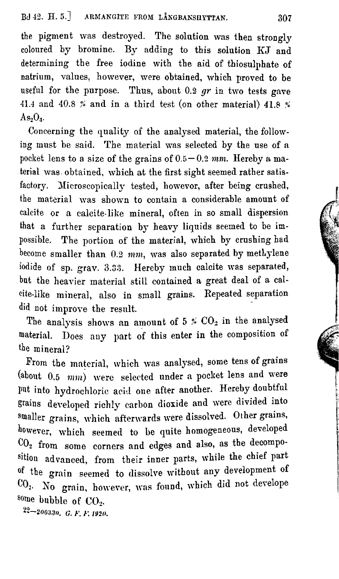the pigment was destroyed. The solution was then strongly coloured by bromine. By adding to this solution KJ and determining the free iodine with the aid of thiosulphate of natrium, values, however, were obtained, which proved to be useful for the purpose. Thus, about  $0.2$   $gr$  in two tests gave 41.4 and 40.8  $\%$  and in a third test (on other material) 41.8  $\%$  $As<sub>2</sub>O<sub>3</sub>$ .

Concerning the quality of the analysed material, the following must be said. The material was selected by the use of a pocket lens to a size of the grains of  $0.5-0.2$  mm. Hereby a material was, obtained, which at the first sight seemed rather satisfactory. Microscopically tested, howevor, after being crushed, the material was shown to contain a considerable amount of calcite or a calcite-like mineral, often in so small dispersion that a further separation by heavy liquids seemed to be impossible. The portion of the material, which by crushing had become smaller than 0.2 *mm,* was also separated by methylene iodide of sp. grav. 3.33. Hereby much calcite was separated, but the heavier material still contained a great deal of a calcite-like mineral, also in small grains. Repeated separation did not improve the result.

The analysis shows an amount of  $5 \times CO_2$  in the analysed material. Does any part of this enter in the composition of the mineral?

From the material, which was analysed, some tens of grains (about 0.5 mm) were selected under a pocket lens and were put into hydrochloric acid one after another. Hereby doubtful grains developed richly carbon dioxide and were divided into smaller grains, which afterwards were dissolved. Other grains, however, which seemed to be quite homogeneous, developed CO2 from some corners and edges and also, as the decomposition advanced, from their inner parts, while the chief part of the grain seemed to dissolve without any development of CO2, No grain, however, was found, which did not develope some bubble of  $CO<sub>2</sub>$ .

22-200330. *G. F. F. 1920*.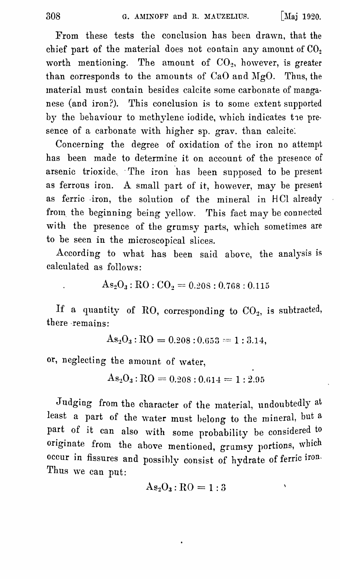From these tests the conclusion has been drawn, that the chief part of the material does not contain any amount of  $CO<sub>2</sub>$ worth mentioning. The amount of  $CO<sub>2</sub>$ , however, is greater than corresponds to the amounts of  $CaO$  and  $MgO$ . Thus, the material must contain besides calcite some carbonate of manga· nese (and iron?). This conclusion is to some extent supported by the behaviour to methylene iodide, which indicates the presence of a carbonate with higher sp. grav. than calcite.

Concerning the degree of oxidation of the iron no attempt has been made to determine it on account of the presence of arsenic trioxide. The iron has been supposed to be present as ferrous iron. A small part of it, however, may be present as ferric iron, the solution of the mineral in HCl already from the beginning being yellow. This fact may be connected with the presence of the grumsy parts, which sometimes are to be seen in the microscopical slices.

According to what has been said above, the analysis is calculated as follows:

$$
As_2O_3: RO: CO_2 = 0.208: 0.768: 0.115
$$

If a quantity of RO, corresponding to  $CO<sub>2</sub>$ , is subtracted, there -remains:

 $\text{As}_2\text{O}_3$ :  $\text{RO} = 0.208$ :  $0.653 = 1$ : 3.14,

or, neglecting the amount of water,

$$
\operatorname{As}_2\!\operatorname{O}_3: \mathrm{RO} = 0.208: 0.614 = 1:2.95
$$

Judging from the character of the material, undoubtedly at least a part of the water must belong to the mineral, but a part of it can also with some probability be considered to originate from the above mentioned, grumsy portions, which occur in fissures and possibly consist of hydrate of ferric iron. Thus we can put:

$$
\operatorname{As}_2\!\operatorname{O}_3\!: \operatorname{RO} = 1:3
$$